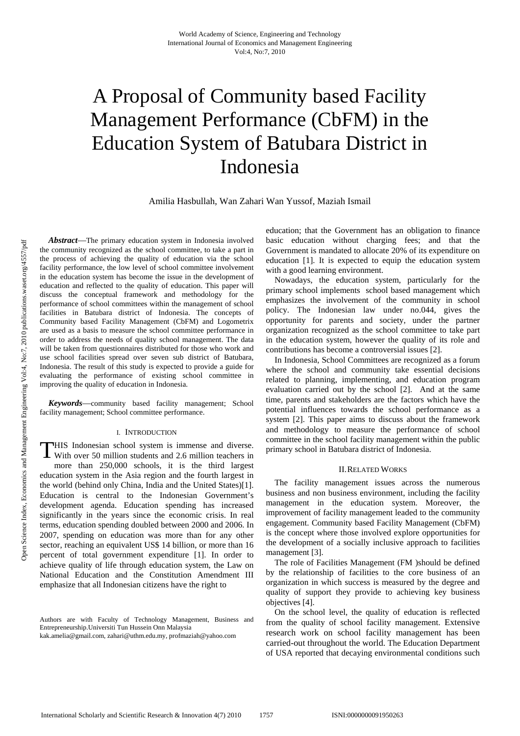# A Proposal of Community based Facility Management Performance (CbFM) in the Education System of Batubara District in Indonesia

Amilia Hasbullah, Wan Zahari Wan Yussof, Maziah Ismail

*Abstract*—The primary education system in Indonesia involved the community recognized as the school committee, to take a part in the process of achieving the quality of education via the school facility performance, the low level of school committee involvement in the education system has become the issue in the development of education and reflected to the quality of education. This paper will discuss the conceptual framework and methodology for the performance of school committees within the management of school facilities in Batubara district of Indonesia. The concepts of Community based Facility Management (CbFM) and Logometrix are used as a basis to measure the school committee performance in order to address the needs of quality school management. The data will be taken from questionnaires distributed for those who work and use school facilities spread over seven sub district of Batubara, Indonesia. The result of this study is expected to provide a guide for evaluating the performance of existing school committee in improving the quality of education in Indonesia.

*Keywords*—community based facility management; School facility management; School committee performance.

#### I. INTRODUCTION

**THIS** Indonesian school system is immense and diverse. THIS Indonesian school system is immense and diverse.<br>With over 50 million students and 2.6 million teachers in more than 250,000 schools, it is the third largest education system in the Asia region and the fourth largest in the world (behind only China, India and the United States)[1]. Education is central to the Indonesian Government's development agenda. Education spending has increased significantly in the years since the economic crisis. In real terms, education spending doubled between 2000 and 2006. In 2007, spending on education was more than for any other sector, reaching an equivalent US\$ 14 billion, or more than 16 percent of total government expenditure [1]. In order to achieve quality of life through education system, the Law on National Education and the Constitution Amendment III emphasize that all Indonesian citizens have the right to

Authors are with Faculty of Technology Management, Business and Entrepreneurship.Universiti Tun Hussein Onn Malaysia kak.amelia@gmail.com, zahari@uthm.edu.my, profmaziah@yahoo.com

education; that the Government has an obligation to finance basic education without charging fees; and that the Government is mandated to allocate 20% of its expenditure on education [1]. It is expected to equip the education system with a good learning environment.

Nowadays, the education system, particularly for the primary school implements school based management which emphasizes the involvement of the community in school policy. The Indonesian law under no.044, gives the opportunity for parents and society, under the partner organization recognized as the school committee to take part in the education system, however the quality of its role and contributions has become a controversial issues [2].

In Indonesia, School Committees are recognized as a forum where the school and community take essential decisions related to planning, implementing, and education program evaluation carried out by the school [2]. And at the same time, parents and stakeholders are the factors which have the potential influences towards the school performance as a system [2]. This paper aims to discuss about the framework and methodology to measure the performance of school committee in the school facility management within the public primary school in Batubara district of Indonesia.

#### II.RELATED WORKS

The facility management issues across the numerous business and non business environment, including the facility management in the education system. Moreover, the improvement of facility management leaded to the community engagement. Community based Facility Management (CbFM) is the concept where those involved explore opportunities for the development of a socially inclusive approach to facilities management [3].

The role of Facilities Management (FM )should be defined by the relationship of facilities to the core business of an organization in which success is measured by the degree and quality of support they provide to achieving key business objectives [4].

On the school level, the quality of education is reflected from the quality of school facility management. Extensive research work on school facility management has been carried-out throughout the world. The Education Department of USA reported that decaying environmental conditions such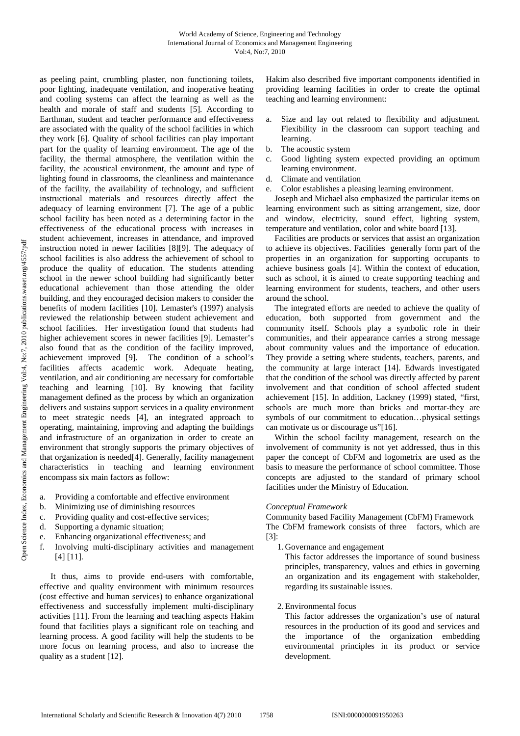as peeling paint, crumbling plaster, non functioning toilets, poor lighting, inadequate ventilation, and inoperative heating and cooling systems can affect the learning as well as the health and morale of staff and students [5]. According to Earthman, student and teacher performance and effectiveness are associated with the quality of the school facilities in which they work [6]. Quality of school facilities can play important part for the quality of learning environment. The age of the facility, the thermal atmosphere, the ventilation within the facility, the acoustical environment, the amount and type of lighting found in classrooms, the cleanliness and maintenance of the facility, the availability of technology, and sufficient instructional materials and resources directly affect the adequacy of learning environment [7]. The age of a public school facility has been noted as a determining factor in the effectiveness of the educational process with increases in student achievement, increases in attendance, and improved instruction noted in newer facilities [8][9]. The adequacy of school facilities is also address the achievement of school to produce the quality of education. The students attending school in the newer school building had significantly better educational achievement than those attending the older building, and they encouraged decision makers to consider the benefits of modern facilities [10]. Lemaster's (1997) analysis reviewed the relationship between student achievement and school facilities. Her investigation found that students had higher achievement scores in newer facilities [9]. Lemaster's also found that as the condition of the facility improved, achievement improved [9]. The condition of a school's facilities affects academic work. Adequate heating, ventilation, and air conditioning are necessary for comfortable teaching and learning [10]. By knowing that facility management defined as the process by which an organization delivers and sustains support services in a quality environment to meet strategic needs [4], an integrated approach to operating, maintaining, improving and adapting the buildings and infrastructure of an organization in order to create an environment that strongly supports the primary objectives of that organization is needed[4]. Generally, facility management characteristics in teaching and learning environment encompass six main factors as follow:

- Providing a comfortable and effective environment
- b. Minimizing use of diminishing resources
- c. Providing quality and cost-effective services;
- d. Supporting a dynamic situation;
- e. Enhancing organizational effectiveness; and
- f. Involving multi-disciplinary activities and management [4] [11].

 It thus, aims to provide end-users with comfortable, effective and quality environment with minimum resources (cost effective and human services) to enhance organizational effectiveness and successfully implement multi-disciplinary activities [11]. From the learning and teaching aspects Hakim found that facilities plays a significant role on teaching and learning process. A good facility will help the students to be more focus on learning process, and also to increase the quality as a student [12].

Hakim also described five important components identified in providing learning facilities in order to create the optimal teaching and learning environment:

- a. Size and lay out related to flexibility and adjustment. Flexibility in the classroom can support teaching and learning.
- b. The acoustic system
- c. Good lighting system expected providing an optimum learning environment.
- d. Climate and ventilation
- e. Color establishes a pleasing learning environment.

Joseph and Michael also emphasized the particular items on learning environment such as sitting arrangement, size, door and window, electricity, sound effect, lighting system, temperature and ventilation, color and white board [13].

Facilities are products or services that assist an organization to achieve its objectives. Facilities generally form part of the properties in an organization for supporting occupants to achieve business goals [4]. Within the context of education, such as school, it is aimed to create supporting teaching and learning environment for students, teachers, and other users around the school.

The integrated efforts are needed to achieve the quality of education, both supported from government and the community itself. Schools play a symbolic role in their communities, and their appearance carries a strong message about community values and the importance of education. They provide a setting where students, teachers, parents, and the community at large interact [14]. Edwards investigated that the condition of the school was directly affected by parent involvement and that condition of school affected student achievement [15]. In addition, Lackney (1999) stated, "first, schools are much more than bricks and mortar-they are symbols of our commitment to education…physical settings can motivate us or discourage us"[16].

Within the school facility management, research on the involvement of community is not yet addressed, thus in this paper the concept of CbFM and logometrix are used as the basis to measure the performance of school committee. Those concepts are adjusted to the standard of primary school facilities under the Ministry of Education.

#### *Conceptual Framework*

Community based Facility Management (CbFM) Framework The CbFM framework consists of three factors, which are [3]:

1.Governance and engagement

This factor addresses the importance of sound business principles, transparency, values and ethics in governing an organization and its engagement with stakeholder, regarding its sustainable issues.

## 2.Environmental focus

This factor addresses the organization's use of natural resources in the production of its good and services and the importance of the organization embedding environmental principles in its product or service development.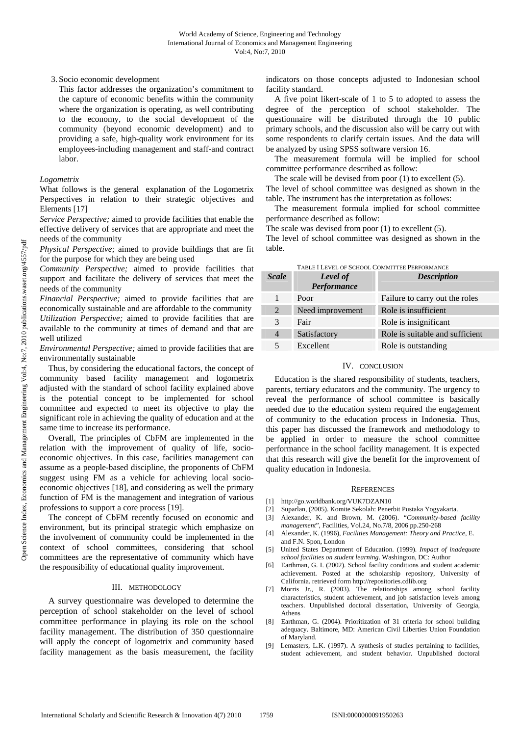# 3. Socio economic development

This factor addresses the organization's commitment to the capture of economic benefits within the community where the organization is operating, as well contributing to the economy, to the social development of the community (beyond economic development) and to providing a safe, high-quality work environment for its employees-including management and staff-and contract labor.

## *Logometrix*

What follows is the general explanation of the Logometrix Perspectives in relation to their strategic objectives and Elements [17]

*Service Perspective;* aimed to provide facilities that enable the effective delivery of services that are appropriate and meet the needs of the community

*Physical Perspective;* aimed to provide buildings that are fit for the purpose for which they are being used

*Community Perspective;* aimed to provide facilities that support and facilitate the delivery of services that meet the needs of the community

*Financial Perspective;* aimed to provide facilities that are economically sustainable and are affordable to the community *Utilization Perspective;* aimed to provide facilities that are available to the community at times of demand and that are well utilized

*Environmental Perspective;* aimed to provide facilities that are environmentally sustainable

Thus, by considering the educational factors, the concept of community based facility management and logometrix adjusted with the standard of school facility explained above is the potential concept to be implemented for school committee and expected to meet its objective to play the significant role in achieving the quality of education and at the same time to increase its performance.

Overall, The principles of CbFM are implemented in the relation with the improvement of quality of life, socioeconomic objectives. In this case, facilities management can assume as a people-based discipline, the proponents of CbFM suggest using FM as a vehicle for achieving local socioeconomic objectives [18], and considering as well the primary function of FM is the management and integration of various professions to support a core process [19].

The concept of CbFM recently focused on economic and environment, but its principal strategic which emphasize on the involvement of community could be implemented in the context of school committees, considering that school committees are the representative of community which have the responsibility of educational quality improvement.

#### III. METHODOLOGY

A survey questionnaire was developed to determine the perception of school stakeholder on the level of school committee performance in playing its role on the school facility management. The distribution of 350 questionnaire will apply the concept of logometrix and community based facility management as the basis measurement, the facility indicators on those concepts adjusted to Indonesian school facility standard.

A five point likert-scale of 1 to 5 to adopted to assess the degree of the perception of school stakeholder. The questionnaire will be distributed through the 10 public primary schools, and the discussion also will be carry out with some respondents to clarify certain issues. And the data will be analyzed by using SPSS software version 16.

The measurement formula will be implied for school committee performance described as follow:

The scale will be devised from poor (1) to excellent (5). The level of school committee was designed as shown in the

table. The instrument has the interpretation as follows:

The measurement formula implied for school committee performance described as follow:

The scale was devised from poor (1) to excellent (5). The level of school committee was designed as shown in the table.

| <b>Scale</b>   | <b>Level</b> of<br>Performance | <b>Description</b>              |
|----------------|--------------------------------|---------------------------------|
|                | Poor                           | Failure to carry out the roles  |
| 2              | Need improvement               | Role is insufficient            |
| $\mathcal{R}$  | Fair                           | Role is insignificant           |
| $\overline{4}$ | Satisfactory                   | Role is suitable and sufficient |
|                | Excellent                      | Role is outstanding             |

# TABLE I LEVEL OF SCHOOL COMMITTEE PERFORMANCE

### IV. CONCLUSION

Education is the shared responsibility of students, teachers, parents, tertiary educators and the community. The urgency to reveal the performance of school committee is basically needed due to the education system required the engagement of community to the education process in Indonesia. Thus, this paper has discussed the framework and methodology to be applied in order to measure the school committee performance in the school facility management. It is expected that this research will give the benefit for the improvement of quality education in Indonesia.

### REFERENCES

- [1] http://go.worldbank.org/VUK7DZAN10
- [2] Suparlan, (2005). Komite Sekolah: Penerbit Pustaka Yogyakarta.
- [3] Alexander, K. and Brown, M. (2006). "*Community-based facility management*", Facilities, Vol.24, No.7/8, 2006 pp.250-268
- [4] Alexander, K. (1996), *Facilities Management: Theory and Practice,* E. and F.N. Spon, London
- [5] United States Department of Education. (1999). *Impact of inadequate school facilities on student learning*. Washington, DC: Author
- [6] Earthman, G. I. (2002). School facility conditions and student academic achievement. Posted at the scholarship repository, University of California. retrieved form http://repositories.cdlib.org
- [7] Morris Jr., R. (2003). The relationships among school facility characteristics, student achievement, and job satisfaction levels among teachers. Unpublished doctoral dissertation, University of Georgia, Athens
- [8] Earthman, G. (2004). Prioritization of 31 criteria for school building adequacy. Baltimore, MD: American Civil Liberties Union Foundation of Maryland.
- Lemasters, L.K. (1997). A synthesis of studies pertaining to facilities, student achievement, and student behavior. Unpublished doctoral